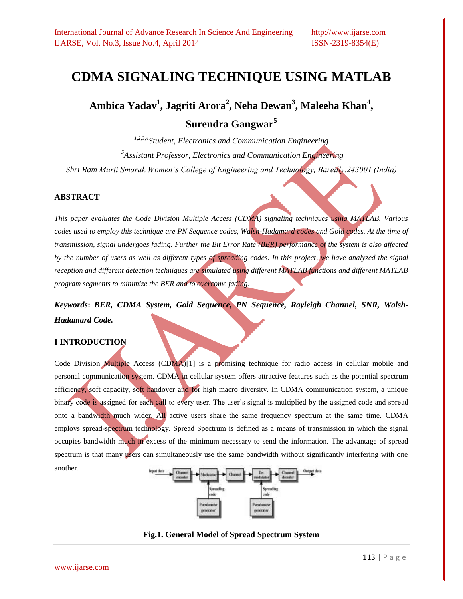# **CDMA SIGNALING TECHNIQUE USING MATLAB**

**Ambica Yadav<sup>1</sup> , Jagriti Arora<sup>2</sup> , Neha Dewan<sup>3</sup> , Maleeha Khan<sup>4</sup> , Surendra Gangwar<sup>5</sup>**

*1,2,3,4Student, Electronics and Communication Engineering <sup>5</sup>Assistant Professor, Electronics and Communication Engineering Shri Ram Murti Smarak Women's College of Engineering and Technology, Bareilly.243001 (India)*

#### **ABSTRACT**

*This paper evaluates the Code Division Multiple Access (CDMA) signaling techniques using MATLAB. Various*  codes used to employ this technique are PN Sequence codes, Walsh-Hadamard codes and Gold codes. At the time of *transmission, signal undergoes fading. Further the Bit Error Rate (BER) performance of the system is also affected*  by the number of users as well as different types of spreading codes. In this project, we have analyzed the signal *reception and different detection techniques are simulated using different MATLAB functions and different MATLAB program segments to minimize the BER and to overcome fading.*

*Keywords***:** *BER, CDMA System, Gold Sequence, PN Sequence, Rayleigh Channel, SNR, Walsh-Hadamard Code.*

#### **I INTRODUCTION**

Code Division Multiple Access (CDMA)[1] is a promising technique for radio access in cellular mobile and personal communication system. CDMA in cellular system offers attractive features such as the potential spectrum efficiency, soft capacity, soft handover and for high macro diversity. In CDMA communication system, a unique binary code is assigned for each call to every user. The user's signal is multiplied by the assigned code and spread onto a bandwidth much wider. All active users share the same frequency spectrum at the same time. CDMA employs spread-spectrum technology. Spread Spectrum is defined as a means of transmission in which the signal occupies bandwidth much in excess of the minimum necessary to send the information. The advantage of spread spectrum is that many users can simultaneously use the same bandwidth without significantly interfering with one another.



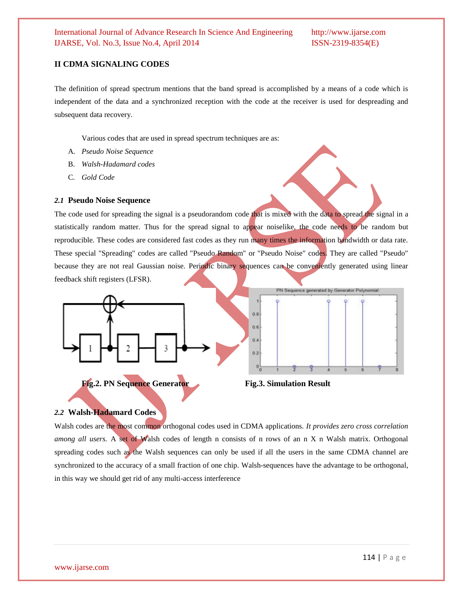### **II CDMA SIGNALING CODES**

The definition of spread spectrum mentions that the band spread is accomplished by a means of a code which is independent of the data and a synchronized reception with the code at the receiver is used for despreading and subsequent data recovery.

Various codes that are used in spread spectrum techniques are as:

- A. *Pseudo Noise Sequence*
- B. *Walsh-Hadamard codes*
- C. *Gold Code*

#### *2.1* **Pseudo Noise Sequence**

The code used for spreading the signal is a pseudorandom code that is mixed with the data to spread the signal in a statistically random matter. Thus for the spread signal to appear noiselike, the code needs to be random but reproducible. These codes are considered fast codes as they run many times the information bandwidth or data rate. These special "Spreading" codes are called "Pseudo Random" or "Pseudo Noise" codes. They are called "Pseudo" because they are not real Gaussian noise. Periodic binary sequences can be conveniently generated using linear feedback shift registers (LFSR).





#### *2.2* **Walsh-Hadamard Codes**

Walsh codes are the most common orthogonal codes used in CDMA applications. *It provides zero cross correlation among all users.* A set of Walsh codes of length n consists of n rows of an n X n Walsh matrix. Orthogonal spreading codes such as the Walsh sequences can only be used if all the users in the same CDMA channel are synchronized to the accuracy of a small fraction of one chip. Walsh-sequences have the advantage to be orthogonal, in this way we should get rid of any multi-access interference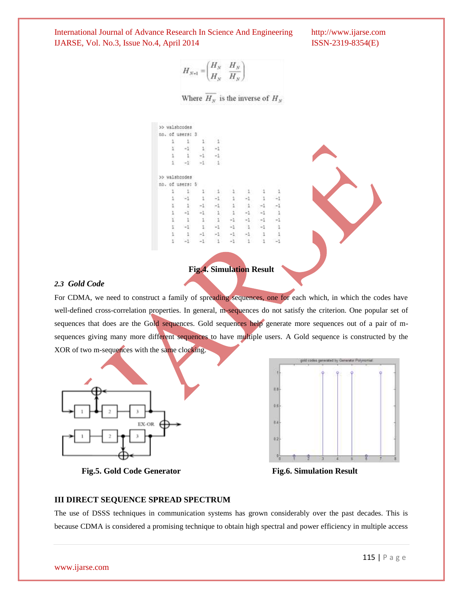$$
H_{N+1} = \begin{pmatrix} H_N & H_N \\ H_N & H_N \end{pmatrix}
$$

Where  $\overline{H_N}$  is the inverse of  $H_N$ 

|               | >> walshoodes   |  |  |  |
|---------------|-----------------|--|--|--|
|               | no. of users: 3 |  |  |  |
| $\mathbbm{1}$ |                 |  |  |  |
| 1             |                 |  |  |  |
| $\frac{1}{1}$ |                 |  |  |  |
|               |                 |  |  |  |
|               | >> walshoodes   |  |  |  |
| no. of users: |                 |  |  |  |
|               |                 |  |  |  |
|               |                 |  |  |  |
| 1             |                 |  |  |  |
| ï             |                 |  |  |  |
| ī             |                 |  |  |  |
|               |                 |  |  |  |
| î             |                 |  |  |  |
|               |                 |  |  |  |

### **Fig.4. Simulation Result**

#### *2.3 Gold Code*

For CDMA, we need to construct a family of spreading sequences, one for each which, in which the codes have well-defined cross-correlation properties. In general, m-sequences do not satisfy the criterion. One popular set of sequences that does are the Gold sequences. Gold sequences help generate more sequences out of a pair of msequences giving many more different sequences to have multiple users*.* A Gold sequence is constructed by the XOR of two m-sequences with the same clocking.



ti.  $68$ ki  $0.3$ 

ilf sodes gamerated by Generator Poly

**Fig.5. Gold Code Generator Fig.6. Simulation Result**

# **III DIRECT SEQUENCE SPREAD SPECTRUM**

The use of DSSS techniques in communication systems has grown considerably over the past decades. This is because CDMA is considered a promising technique to obtain high spectral and power efficiency in multiple access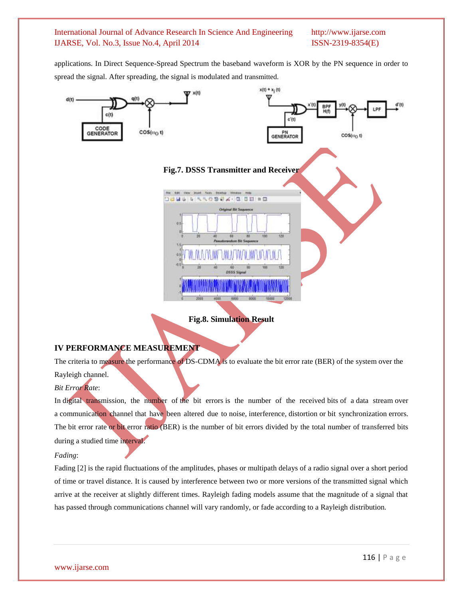applications. In Direct Sequence-Spread Spectrum the baseband waveform is XOR by the PN sequence in order to spread the signal. After spreading, the signal is modulated and transmitted.



**Fig.8. Simulation Result**

# **IV PERFORMANCE MEASUREMENT**

The criteria to measure the performance of DS-CDMA is to evaluate the bit error rate (BER) of the system over the Rayleigh channel.

# *Bit Error Rate*:

In [digital transmission,](http://en.wikipedia.org/wiki/Digital_transmission) the number of the bit errors is the number of the received [bits](http://en.wikipedia.org/wiki/Bit) of a [data stream](http://en.wikipedia.org/wiki/Data_stream) over a [communication channel](http://en.wikipedia.org/wiki/Communication_channel) that have been altered due to [noise,](http://en.wikipedia.org/wiki/Noise_(telecommunications)) [interference,](http://en.wikipedia.org/wiki/Interference_(communication)) [distortion](http://en.wikipedia.org/wiki/Distortion) or [bit synchronization](http://en.wikipedia.org/wiki/Bit_synchronization) errors. The bit error rate or bit error ratio (BER) is the number of bit errors divided by the total number of transferred bits during a studied time interval.

#### *Fading*:

Fading [2] is the rapid fluctuations of the amplitudes, phases or multipath delays of a radio signal over a short period of time or travel distance. It is caused by interference between two or more versions of the transmitted signal which arrive at the receiver at slightly different times. Rayleigh fading models assume that the magnitude of a signal that has passed through communications channel will vary randomly, or fade according to a Rayleigh distribution*.*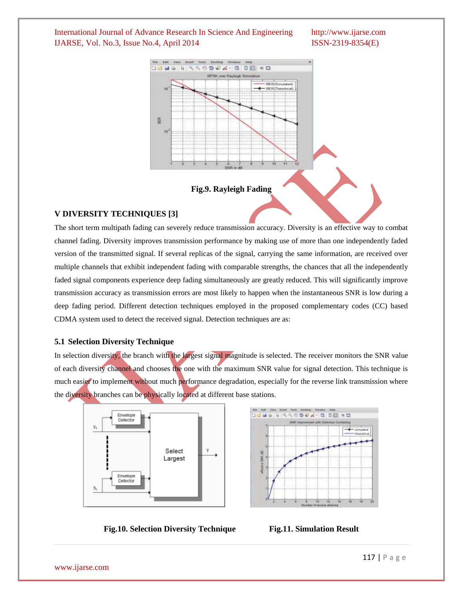

#### **Fig.9. Rayleigh Fading**

#### **V DIVERSITY TECHNIQUES [3]**

The short term multipath fading can severely reduce transmission accuracy. Diversity is an effective way to combat channel fading. Diversity improves transmission performance by making use of more than one independently faded version of the transmitted signal. If several replicas of the signal, carrying the same information, are received over multiple channels that exhibit independent fading with comparable strengths, the chances that all the independently faded signal components experience deep fading simultaneously are greatly reduced. This will significantly improve transmission accuracy as transmission errors are most likely to happen when the instantaneous SNR is low during a deep fading period. Different detection techniques employed in the proposed complementary codes (CC) based CDMA system used to detect the received signal. Detection techniques are as:

### **5.1 Selection Diversity Technique**

In selection diversity, the branch with the largest signal magnitude is selected. The receiver monitors the SNR value of each diversity channel and chooses the one with the maximum SNR value for signal detection. This technique is much easier to implement without much performance degradation, especially for the reverse link transmission where the diversity branches can be physically located at different base stations.





**Fig.10. Selection Diversity Technique Fig.11. Simulation Result**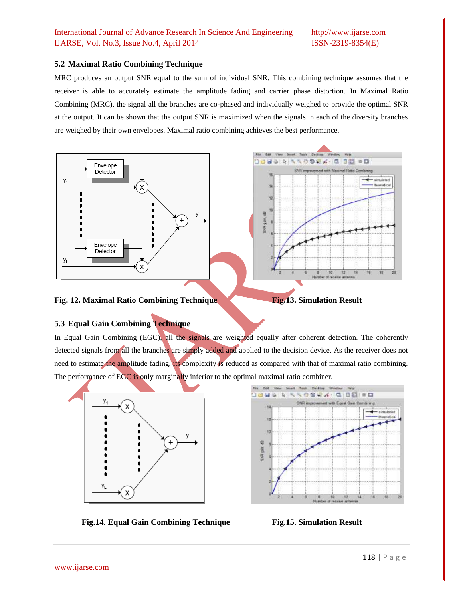# **5.2 Maximal Ratio Combining Technique**

MRC produces an output SNR equal to the sum of individual SNR. This combining technique assumes that the receiver is able to accurately estimate the amplitude fading and carrier phase distortion. In Maximal Ratio Combining (MRC), the signal all the branches are co-phased and individually weighed to provide the optimal SNR at the output. It can be shown that the output SNR is maximized when the signals in each of the diversity branches are weighed by their own envelopes. Maximal ratio combining achieves the best performance.



# **5.3 Equal Gain Combining Technique**

In Equal Gain Combining (EGC), all the signals are weighted equally after coherent detection. The coherently detected signals from all the branches are simply added and applied to the decision device. As the receiver does not need to estimate the amplitude fading, its complexity is reduced as compared with that of maximal ratio combining. The performance of EGC is only marginally inferior to the optimal maximal ratio combiner.





**Fig.14. Equal Gain Combining Technique Fig.15. Simulation Result**

www.ijarse.com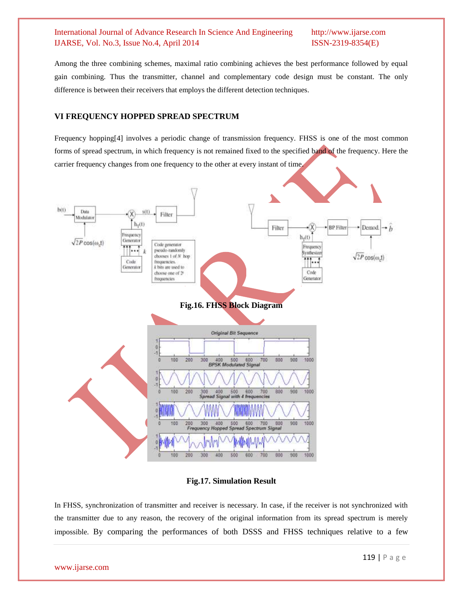Among the three combining schemes, maximal ratio combining achieves the best performance followed by equal gain combining. Thus the transmitter, channel and complementary code design must be constant. The only difference is between their receivers that employs the different detection techniques.

# **VI FREQUENCY HOPPED SPREAD SPECTRUM**

Frequency hopping[4] involves a periodic change of transmission frequency. FHSS is one of the most common forms of spread spectrum, in which frequency is not remained fixed to the specified band of the frequency. Here the carrier frequency changes from one frequency to the other at every instant of time.



**Fig.17. Simulation Result**

In FHSS, synchronization of transmitter and receiver is necessary. In case, if the receiver is not synchronized with the transmitter due to any reason, the recovery of the original information from its spread spectrum is merely impossible. By comparing the performances of both DSSS and FHSS techniques relative to a few